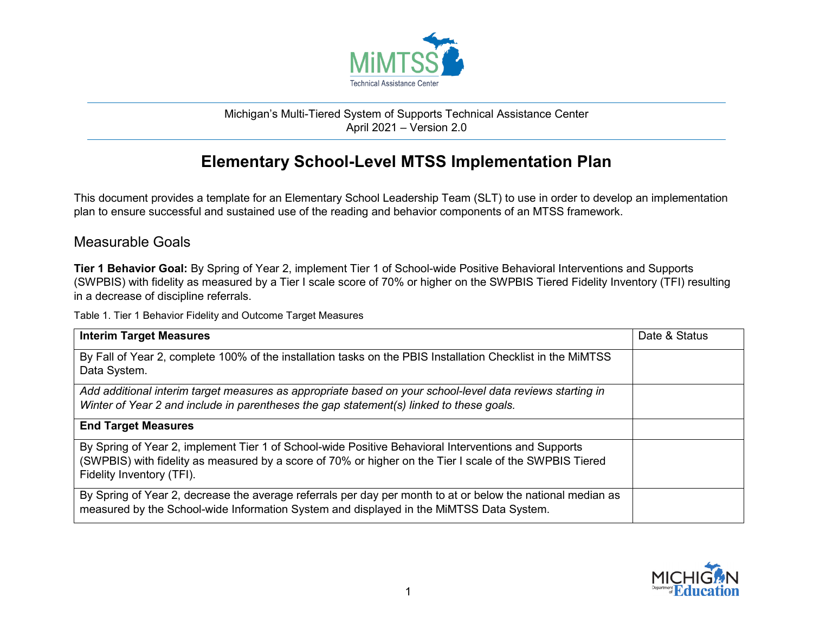

## Michigan's Multi-Tiered System of Supports Technical Assistance Center April 2021 – Version 2.0

## **Elementary School-Level MTSS Implementation Plan**

This document provides a template for an Elementary School Leadership Team (SLT) to use in order to develop an implementation plan to ensure successful and sustained use of the reading and behavior components of an MTSS framework.

## Measurable Goals

**Tier 1 Behavior Goal:** By Spring of Year 2, implement Tier 1 of School-wide Positive Behavioral Interventions and Supports (SWPBIS) with fidelity as measured by a Tier I scale score of 70% or higher on the SWPBIS Tiered Fidelity Inventory (TFI) resulting in a decrease of discipline referrals.

Table 1. Tier 1 Behavior Fidelity and Outcome Target Measures

| <b>Interim Target Measures</b>                                                                                                                                                                                                              | Date & Status |
|---------------------------------------------------------------------------------------------------------------------------------------------------------------------------------------------------------------------------------------------|---------------|
| By Fall of Year 2, complete 100% of the installation tasks on the PBIS Installation Checklist in the MIMTSS<br>Data System.                                                                                                                 |               |
| Add additional interim target measures as appropriate based on your school-level data reviews starting in<br>Winter of Year 2 and include in parentheses the gap statement(s) linked to these goals.                                        |               |
| <b>End Target Measures</b>                                                                                                                                                                                                                  |               |
| By Spring of Year 2, implement Tier 1 of School-wide Positive Behavioral Interventions and Supports<br>(SWPBIS) with fidelity as measured by a score of 70% or higher on the Tier I scale of the SWPBIS Tiered<br>Fidelity Inventory (TFI). |               |
| By Spring of Year 2, decrease the average referrals per day per month to at or below the national median as<br>measured by the School-wide Information System and displayed in the MiMTSS Data System.                                      |               |

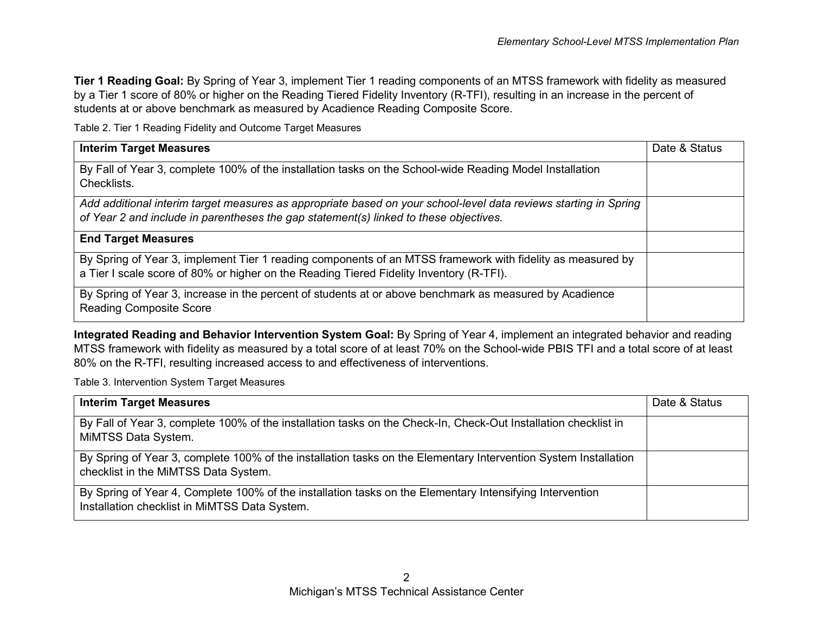**Tier 1 Reading Goal:** By Spring of Year 3, implement Tier 1 reading components of an MTSS framework with fidelity as measured by a Tier 1 score of 80% or higher on the Reading Tiered Fidelity Inventory (R-TFI), resulting in an increase in the percent of students at or above benchmark as measured by Acadience Reading Composite Score.

Table 2. Tier 1 Reading Fidelity and Outcome Target Measures

| <b>Interim Target Measures</b>                                                                                                                                                                            | Date & Status |
|-----------------------------------------------------------------------------------------------------------------------------------------------------------------------------------------------------------|---------------|
| By Fall of Year 3, complete 100% of the installation tasks on the School-wide Reading Model Installation<br>Checklists.                                                                                   |               |
| Add additional interim target measures as appropriate based on your school-level data reviews starting in Spring<br>of Year 2 and include in parentheses the gap statement(s) linked to these objectives. |               |
| <b>End Target Measures</b>                                                                                                                                                                                |               |
| By Spring of Year 3, implement Tier 1 reading components of an MTSS framework with fidelity as measured by<br>a Tier I scale score of 80% or higher on the Reading Tiered Fidelity Inventory (R-TFI).     |               |
| By Spring of Year 3, increase in the percent of students at or above benchmark as measured by Acadience<br><b>Reading Composite Score</b>                                                                 |               |

**Integrated Reading and Behavior Intervention System Goal:** By Spring of Year 4, implement an integrated behavior and reading MTSS framework with fidelity as measured by a total score of at least 70% on the School-wide PBIS TFI and a total score of at least 80% on the R-TFI, resulting increased access to and effectiveness of interventions.

Table 3. Intervention System Target Measures

| <b>Interim Target Measures</b>                                                                                                                            | Date & Status |
|-----------------------------------------------------------------------------------------------------------------------------------------------------------|---------------|
| By Fall of Year 3, complete 100% of the installation tasks on the Check-In, Check-Out Installation checklist in<br>MiMTSS Data System.                    |               |
| By Spring of Year 3, complete 100% of the installation tasks on the Elementary Intervention System Installation<br>checklist in the MiMTSS Data System.   |               |
| By Spring of Year 4, Complete 100% of the installation tasks on the Elementary Intensifying Intervention<br>Installation checklist in MiMTSS Data System. |               |